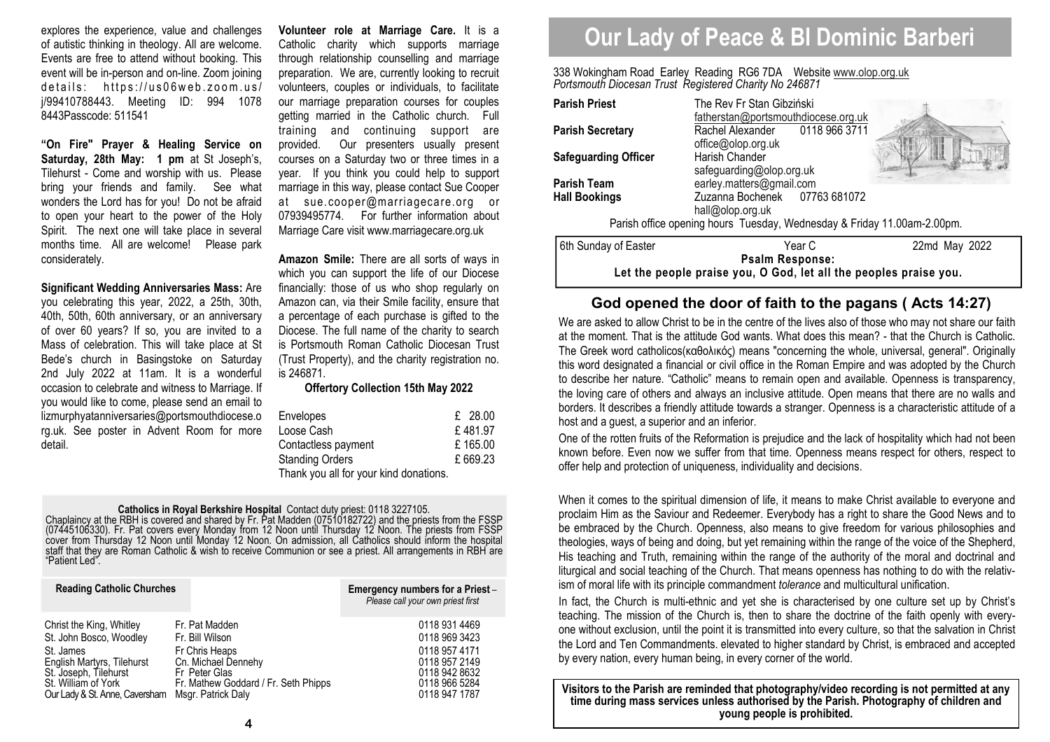explores the experience, value and challenges of autistic thinking in theology. All are welcome. Events are free to attend without booking. This event will be in-person and on-line. Zoom joining  $details:$  https://us06web.zoom.us/ j/99410788443. Meeting ID: 994 1078 8443Passcode: 511541

**"On Fire" Prayer & Healing Service on Saturday, 28th May: 1 pm** at St Joseph's, Tilehurst - Come and worship with us. Please bring your friends and family. See what wonders the Lord has for you! Do not be afraid to open your heart to the power of the Holy Spirit. The next one will take place in several months time. All are welcome! Please park considerately.

**Significant Wedding Anniversaries Mass:** Are you celebrating this year, 2022, a 25th, 30th, 40th, 50th, 60th anniversary, or an anniversary of over 60 years? If so, you are invited to a Mass of celebration. This will take place at St Bede's church in Basingstoke on Saturday 2nd July 2022 at 11am. It is a wonderful occasion to celebrate and witness to Marriage. If you would like to come, please send an email to lizmurphyatanniversaries@portsmouthdiocese.o rg.uk. See poster in Advent Room for more detail.

**Volunteer role at Marriage Care.** It is a Catholic charity which supports marriage through relationship counselling and marriage preparation. We are, currently looking to recruit volunteers, couples or individuals, to facilitate our marriage preparation courses for couples getting married in the Catholic church. Full training and continuing support are provided. Our presenters usually present courses on a Saturday two or three times in a year. If you think you could help to support marriage in this way, please contact Sue Cooper at sue.cooper@marriagecare.org or 07939495774. For further information about Marriage Care visit www.marriagecare.org.uk

**Amazon Smile:** There are all sorts of ways in which you can support the life of our Diocese financially: those of us who shop regularly on Amazon can, via their Smile facility, ensure that a percentage of each purchase is gifted to the Diocese. The full name of the charity to search is Portsmouth Roman Catholic Diocesan Trust (Trust Property), and the charity registration no. is 246871.

## **Offertory Collection 15th May 2022**

| Envelopes                              | £28.00  |
|----------------------------------------|---------|
| Loose Cash                             | £481.97 |
| Contactless payment                    | £165.00 |
| <b>Standing Orders</b>                 | £669.23 |
| Thank you all for your kind donations. |         |

# **Catholics in Royal Berkshire Hospital** Contact duty priest: 0118 3227105.<br>Chaplaincy at the RBH is covered and shared by Fr. Pat Madden (07510182722) and the priests from the FSSP (07445106330). Fr. Pat covers every Monda

| <b>Reading Catholic Churches</b> |                                      | Emergency numbers for a Priest-<br>Please call your own priest first |
|----------------------------------|--------------------------------------|----------------------------------------------------------------------|
| Christ the King, Whitley         | Fr. Pat Madden                       | 0118 931 4469                                                        |
| St. John Bosco, Woodley          | Fr. Bill Wilson                      | 0118 969 3423                                                        |
| St. James                        | Fr Chris Heaps                       | 0118 957 4171                                                        |
| English Martyrs, Tilehurst       | Cn. Michael Dennehy                  | 0118 957 2149                                                        |
| St. Joseph, Tilehurst            | Fr Peter Glas                        | 0118 942 8632                                                        |
| St. William of York              | Fr. Mathew Goddard / Fr. Seth Phipps | 0118 966 5284                                                        |
| Our Lady & St. Anne, Caversham   | Msgr. Patrick Daly                   | 0118 947 1787                                                        |

# **Our Lady of Peace & Bl Dominic Barberi**

338 Wokingham Road Earley Reading RG6 7DA Website www.olop.org.uk*Portsmouth Diocesan Trust Registered Charity No 246871* 

| <b>Parish Priest</b>                                                                        | The Rev Fr Stan Gibziński<br>fatherstan@portsmouthdiocese.org.uk                                          |               |  |  |  |
|---------------------------------------------------------------------------------------------|-----------------------------------------------------------------------------------------------------------|---------------|--|--|--|
| <b>Parish Secretary</b>                                                                     | Rachel Alexander 0118 966 3711<br>office@olop.org.uk                                                      |               |  |  |  |
| <b>Safeguarding Officer</b>                                                                 | Harish Chander                                                                                            |               |  |  |  |
| <b>Parish Team</b><br><b>Hall Bookings</b>                                                  | safeguarding@olop.org.uk<br>earley.matters@gmail.com<br>Zuzanna Bochenek 07763 681072<br>hall@olop.org.uk |               |  |  |  |
| Parish office opening hours Tuesday, Wednesday & Friday 11.00am-2.00pm.                     |                                                                                                           |               |  |  |  |
| 6th Sunday of Easter                                                                        | Year C                                                                                                    | 22md May 2022 |  |  |  |
| <b>Psalm Response:</b><br>Let the people praise you, O God, let all the peoples praise you. |                                                                                                           |               |  |  |  |

# **God opened the door of faith to the pagans ( Acts 14:27)**

We are asked to allow Christ to be in the centre of the lives also of those who may not share our faith at the moment. That is the attitude God wants. What does this mean? - that the Church is Catholic. The Greek word catholicos(καθολικός) means "concerning the whole, universal, general". Originally this word designated a financial or civil office in the Roman Empire and was adopted by the Church to describe her nature. "Catholic" means to remain open and available. Openness is transparency, the loving care of others and always an inclusive attitude. Open means that there are no walls and borders. It describes a friendly attitude towards a stranger. Openness is a characteristic attitude of a host and a guest, a superior and an inferior.

One of the rotten fruits of the Reformation is prejudice and the lack of hospitality which had not been known before. Even now we suffer from that time. Openness means respect for others, respect to offer help and protection of uniqueness, individuality and decisions.

When it comes to the spiritual dimension of life, it means to make Christ available to everyone and proclaim Him as the Saviour and Redeemer. Everybody has a right to share the Good News and to be embraced by the Church. Openness, also means to give freedom for various philosophies and theologies, ways of being and doing, but yet remaining within the range of the voice of the Shepherd, His teaching and Truth, remaining within the range of the authority of the moral and doctrinal and liturgical and social teaching of the Church. That means openness has nothing to do with the relativism of moral life with its principle commandment *tolerance* and multicultural unification.

In fact, the Church is multi-ethnic and yet she is characterised by one culture set up by Christ's teaching. The mission of the Church is, then to share the doctrine of the faith openly with everyone without exclusion, until the point it is transmitted into every culture, so that the salvation in Christ the Lord and Ten Commandments. elevated to higher standard by Christ, is embraced and accepted by every nation, every human being, in every corner of the world.

**Visitors to the Parish are reminded that photography/video recording is not permitted at any time during mass services unless authorised by the Parish. Photography of children and young people is prohibited.**